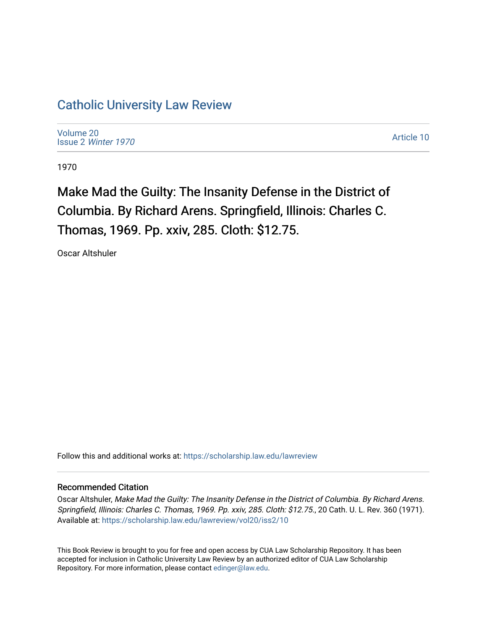## [Catholic University Law Review](https://scholarship.law.edu/lawreview)

[Volume 20](https://scholarship.law.edu/lawreview/vol20) Issue 2 [Winter 1970](https://scholarship.law.edu/lawreview/vol20/iss2) 

[Article 10](https://scholarship.law.edu/lawreview/vol20/iss2/10) 

1970

Make Mad the Guilty: The Insanity Defense in the District of Columbia. By Richard Arens. Springfield, Illinois: Charles C. Thomas, 1969. Pp. xxiv, 285. Cloth: \$12.75.

Oscar Altshuler

Follow this and additional works at: [https://scholarship.law.edu/lawreview](https://scholarship.law.edu/lawreview?utm_source=scholarship.law.edu%2Flawreview%2Fvol20%2Fiss2%2F10&utm_medium=PDF&utm_campaign=PDFCoverPages)

## Recommended Citation

Oscar Altshuler, Make Mad the Guilty: The Insanity Defense in the District of Columbia. By Richard Arens. Springfield, Illinois: Charles C. Thomas, 1969. Pp. xxiv, 285. Cloth: \$12.75., 20 Cath. U. L. Rev. 360 (1971). Available at: [https://scholarship.law.edu/lawreview/vol20/iss2/10](https://scholarship.law.edu/lawreview/vol20/iss2/10?utm_source=scholarship.law.edu%2Flawreview%2Fvol20%2Fiss2%2F10&utm_medium=PDF&utm_campaign=PDFCoverPages) 

This Book Review is brought to you for free and open access by CUA Law Scholarship Repository. It has been accepted for inclusion in Catholic University Law Review by an authorized editor of CUA Law Scholarship Repository. For more information, please contact [edinger@law.edu.](mailto:edinger@law.edu)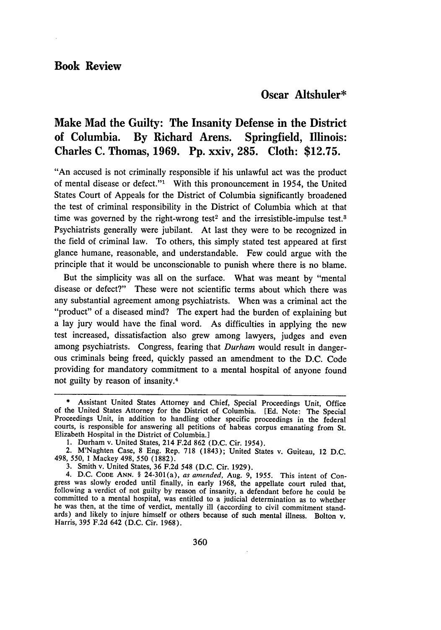## **Oscar Altshuler\***

## **Make Mad the Guilty: The Insanity Defense in the District of Columbia. By Richard Arens. Springfield, Illinois: Charles C. Thomas, 1969. Pp. xxiv, 285. Cloth: \$12.75.**

"An accused is not criminally responsible if his unlawful act was the product of mental disease or defect."<sup>1</sup> With this pronouncement in 1954, the United States Court of Appeals for the District of Columbia significantly broadened the test of criminal responsibility in the District of Columbia which at that time was governed by the right-wrong test<sup>2</sup> and the irresistible-impulse test.<sup>3</sup> Psychiatrists generally were jubilant. At last they were to be recognized in the field of criminal law. To others, this simply stated test appeared at first glance humane, reasonable, and understandable. Few could argue with the principle that it would be unconscionable to punish where there is no blame.

But the simplicity was all on the surface. What was meant **by** "mental disease or defect?" These were not scientific terms about which there was any substantial agreement among psychiatrists. When was a criminal act the "product" of a diseased mind? The expert had the burden of explaining but a lay jury would have the final word. As difficulties in applying the new test increased, dissatisfaction also grew among lawyers, judges and even among psychiatrists. Congress, fearing that *Durham* would result in dangerous criminals being freed, quickly passed an amendment to the D.C. Code providing for mandatory commitment to a mental hospital of anyone found not guilty **by** reason of insanity.<sup>4</sup>

Assistant United States Attorney and Chief, Special Proceedings Unit, Office of the United States Attorney for the District of Columbia. **[Ed.** Note: The Special Proceedings Unit, in addition to handling other specific proceedings in the federal courts, is responsible for answering all petitions of habeas corpus emanating from St. Elizabeth Hospital in the District of Columbia.]<br>1. Durham v. United States, 214 F.2d 862 (D.C. Cir. 1954).

<sup>2.</sup> M'Naghten Case, 8 Eng. Rep. 718 (1843); United States v. Guiteau, 12 D.C. 498, 550, 1 Mackey 498, 550 (1882).

<sup>3.</sup> Smith v. United States, 36 F.2d 548 (D.C. Cir. 1929).

<sup>4.</sup> D.C. **CODE ANN.** § 24-301(a), *as amended,* Aug. 9, 1955. This intent of Congress was slowly eroded until finally, in early 1968, the appellate court ruled that, following a verdict of not guilty by reason of insanity, a defendant before he could be committed to a mental hospital, was entitled to a judicial determination as to whether he was then, at the time of verdict, mentally ill (according to civil commitment standards) and likely to injure himself or others because of such mental illness. Bolton v. Harris, 395 F.2d 642 (D.C. Cir. 1968).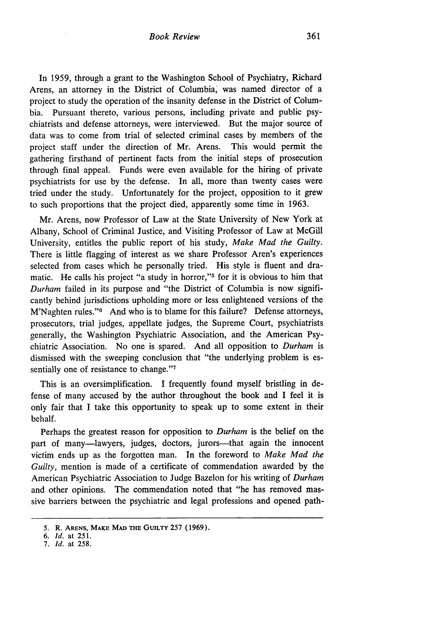In 1959, through a grant to the Washington School of Psychiatry, Richard Arens, an attorney in the District of Columbia, was named director of a project to study the operation of the insanity defense in the District of Columbia. Pursuant thereto, various persons, including private and public psychiatrists and defense attorneys, were interviewed. But the major source of data was to come from trial of selected criminal cases by members of the project staff under the direction of Mr. Arens. This would permit the gathering firsthand of pertinent facts from the initial steps of prosecution through final appeal. Funds were even available for the hiring of private psychiatrists for use by the defense. In all, more than twenty cases were tried under the study. Unfortunately for the project, opposition to it grew to such proportions that the project died, apparently some time in 1963.

Mr. Arens, now Professor of Law at the State University of New York at Albany, School of Criminal Justice, and Visiting Professor of Law at McGill University, entitles the public report of his study, *Make Mad the Guilty.* There is little flagging of interest as we share Professor Aren's experiences selected from cases which he personally tried. His style is fluent and dramatic. He calls his project "a study in horror,"5 for it is obvious to him that *Durham* failed in its purpose and "the District of Columbia is now significantly behind jurisdictions upholding more or less enlightened versions of the M'Naghten rules."<sup>6</sup> And who is to blame for this failure? Defense attorneys, prosecutors, trial judges, appellate judges, the Supreme Court, psychiatrists generally, the Washington Psychiatric Association, and the American Psychiatric Association. No one is spared. And all opposition to *Durham* is dismissed with the sweeping conclusion that "the underlying problem is essentially one of resistance to change."<sup>7</sup>

This is an oversimplification. I frequently found myself bristling in defense of many accused by the author throughout the book and I feel it is only fair that I take this opportunity to speak up to some extent in their behalf.

Perhaps the greatest reason for opposition to *Durham* is the belief on the part of many—lawyers, judges, doctors, jurors—that again the innocent victim ends up as the forgotten man. In the foreword to *Make Mad the Guilty,* mention is made of a certificate of commendation awarded by the American Psychiatric Association to Judge Bazelon for his writing of *Durham* and other opinions. The commendation noted that "he has removed massive barriers between the psychiatric and legal professions and opened path-

**<sup>5.</sup> R. ARENS, MAKE MAD THE GuiLTY 257 (1969).**

*<sup>6.</sup> Id.* at **251.**

*<sup>7.</sup> Id.* at **258.**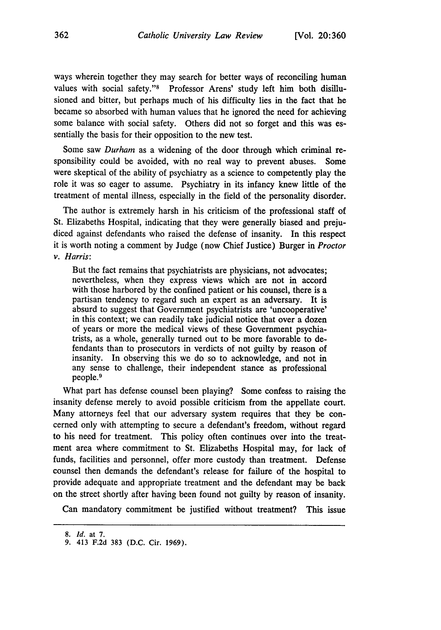ways wherein together they may search for better ways of reconciling human values with social safety."<sup>8</sup> Professor Arens' study left him both disillusioned and bitter, but perhaps much of his difficulty lies in the fact that he became so absorbed with human values that he ignored the need for achieving some balance with social safety. Others did not so forget and this was essentially the basis for their opposition to the new test.

Some saw *Durham* as a widening of the door through which criminal responsibility could be avoided, with no real way to prevent abuses. Some were skeptical of the ability of psychiatry as a science to competently play the role it was so eager to assume. Psychiatry in its infancy knew little of the treatment of mental illness, especially in the field of the personality disorder.

The author is extremely harsh in his criticism of the professional staff of St. Elizabeths Hospital, indicating that they were generally biased and prejudiced against defendants who raised the defense of insanity. In this respect it is worth noting a comment by Judge (now Chief Justice) Burger in *Proctor v. Harris:*

But the fact remains that psychiatrists are physicians, not advocates; nevertheless, when they express views which are not in accord with those harbored by the confined patient or his counsel, there is a partisan tendency to regard such an expert as an adversary. It is absurd to suggest that Government psychiatrists are 'uncooperative' in this context; we can readily take judicial notice that over a dozen of years or more the medical views of these Government psychiatrists, as a whole, generally turned out to be more favorable to defendants than to prosecutors in verdicts of not guilty by reason of insanity. In observing this we do so to acknowledge, and not in any sense to challenge, their independent stance as professional people.<sup>9</sup>

What part has defense counsel been playing? Some confess to raising the insanity defense merely to avoid possible criticism from the appellate court. Many attorneys feel that our adversary system requires that they be concerned only with attempting to secure a defendant's freedom, without regard to his need for treatment. This policy often continues over into the treatment area where commitment to St. Elizabeths Hospital may, for lack of funds, facilities and personnel, offer more custody than treatment. Defense counsel then demands the defendant's release for failure of the hospital to provide adequate and appropriate treatment and the defendant may be back on the street shortly after having been found not guilty by reason of insanity.

Can mandatory commitment be justified without treatment? This issue

**<sup>8.</sup>** *Id.* at 7.

**<sup>9.</sup>** 413 **F.2d 383 (D.C.** Cir. **1969).**